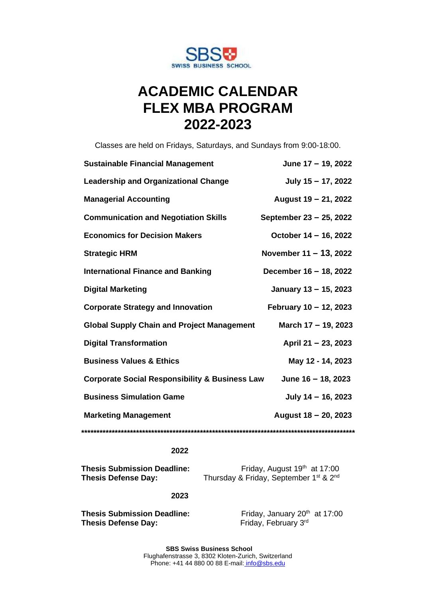

# **ACADEMIC CALENDAR FLEX MBA PROGRAM 2022-2023**

Classes are held on Fridays, Saturdays, and Sundays from 9:00-18:00.

| <b>Sustainable Financial Management</b>                   | June 17 - 19, 2022      |
|-----------------------------------------------------------|-------------------------|
| <b>Leadership and Organizational Change</b>               | July $15 - 17$ , 2022   |
| <b>Managerial Accounting</b>                              | August 19 - 21, 2022    |
| <b>Communication and Negotiation Skills</b>               | September 23 - 25, 2022 |
| <b>Economics for Decision Makers</b>                      | October 14 – 16, 2022   |
| <b>Strategic HRM</b>                                      | November 11 - 13, 2022  |
| <b>International Finance and Banking</b>                  | December 16 - 18, 2022  |
| <b>Digital Marketing</b>                                  | January 13 - 15, 2023   |
| <b>Corporate Strategy and Innovation</b>                  | February 10 - 12, 2023  |
| <b>Global Supply Chain and Project Management</b>         | March 17 - 19, 2023     |
| <b>Digital Transformation</b>                             | April 21 - 23, 2023     |
| <b>Business Values &amp; Ethics</b>                       | May 12 - 14, 2023       |
| <b>Corporate Social Responsibility &amp; Business Law</b> | June 16 - 18, 2023      |
| <b>Business Simulation Game</b>                           | July $14 - 16$ , 2023   |
| <b>Marketing Management</b>                               | August 18 - 20, 2023    |
|                                                           |                         |

### **2022**

**Thesis Submission Deadline:** Friday, August 19<sup>th</sup> at 17:00<br>**Thesis Defense Day:** Thursday & Friday, September 1<sup>st</sup> & 2<sup>nd</sup>

Thursday & Friday, September 1<sup>st</sup> & 2<sup>nd</sup>

## **2023**

**Thesis Submission Deadline:** Friday, January 20<sup>th</sup> at 17:00 **Thesis Defense Day:** Friday, February 3rd

**SBS Swiss Business School** Flughafenstrasse 3, 8302 Kloten-Z[uri](mailto:info@sbs.edu)ch, Switzerland Phone: +41 44 880 00 88 E-mail: info@sbs.edu